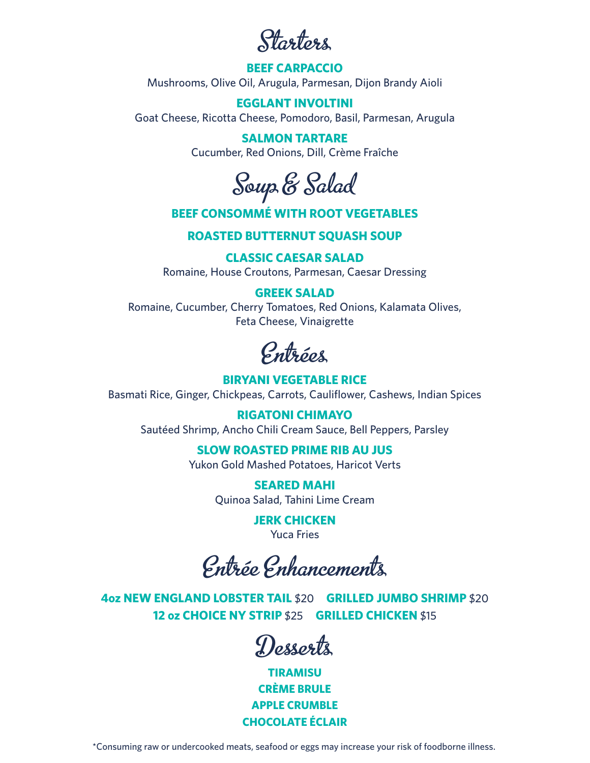Starters

## **BEEF CARPACCIO** Mushrooms, Olive Oil, Arugula, Parmesan, Dijon Brandy Aioli

**EGGLANT INVOLTINI** Goat Cheese, Ricotta Cheese, Pomodoro, Basil, Parmesan, Arugula

> **SALMON TARTARE** Cucumber, Red Onions, Dill, Crème Fraîche

Soup & Salad

## **BEEF CONSOMMÉ WITH ROOT VEGETABLES**

**ROASTED BUTTERNUT SQUASH SOUP**

**CLASSIC CAESAR SALAD** 

Romaine, House Croutons, Parmesan, Caesar Dressing

#### **GREEK SALAD**

Romaine, Cucumber, Cherry Tomatoes, Red Onions, Kalamata Olives, Feta Cheese, Vinaigrette

Entrées

## **BIRYANI VEGETABLE RICE**

Basmati Rice, Ginger, Chickpeas, Carrots, Cauliflower, Cashews, Indian Spices

**RIGATONI CHIMAYO** Sautéed Shrimp, Ancho Chili Cream Sauce, Bell Peppers, Parsley

# **SLOW ROASTED PRIME RIB AU JUS**

Yukon Gold Mashed Potatoes, Haricot Verts

**SEARED MAHI** Quinoa Salad, Tahini Lime Cream

> **JERK CHICKEN** Yuca Fries

Entrée Enhancements

**4oz NEW ENGLAND LOBSTER TAIL** \$20 **GRILLED JUMBO SHRIMP** \$20 **12 oz CHOICE NY STRIP** \$25 **GRILLED CHICKEN** \$15

Desserts

**TIRAMISU CRÈME BRULE APPLE CRUMBLE CHOCOLATE ÉCLAIR**

\*Consuming raw or undercooked meats, seafood or eggs may increase your risk of foodborne illness.